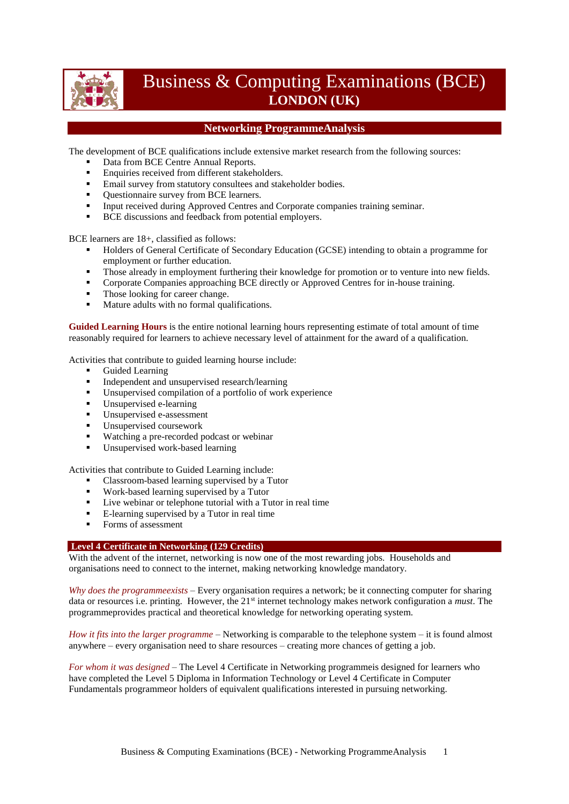

# Business & Computing Examinations (BCE) **LONDON (UK)**

# **Networking ProgrammeAnalysis**

The development of BCE qualifications include extensive market research from the following sources:

- Data from BCE Centre Annual Reports.
- **Enquiries received from different stakeholders.**
- **Email survey from statutory consultees and stakeholder bodies.**
- Ouestionnaire survey from BCE learners.
- Input received during Approved Centres and Corporate companies training seminar.
- **BCE** discussions and feedback from potential employers.

BCE learners are 18+, classified as follows:

- Holders of General Certificate of Secondary Education (GCSE) intending to obtain a programme for employment or further education.
- Those already in employment furthering their knowledge for promotion or to venture into new fields.
- **Corporate Companies approaching BCE directly or Approved Centres for in-house training.**
- Those looking for career change.
- Mature adults with no formal qualifications.

**Guided Learning Hours** is the entire notional learning hours representing estimate of total amount of time reasonably required for learners to achieve necessary level of attainment for the award of a qualification.

Activities that contribute to guided learning hourse include:

- Guided Learning
- Independent and unsupervised research/learning<br>Insupervised compilation of a portfolio of work
- Unsupervised compilation of a portfolio of work experience<br> $\blacksquare$  Unsupervised a learning
- Unsupervised e-learning
- Unsupervised e-assessment
- **Unsupervised coursework**
- Watching a pre-recorded podcast or webinar
- Unsupervised work-based learning

Activities that contribute to Guided Learning include:

- Classroom-based learning supervised by a Tutor
- Work-based learning supervised by a Tutor
- Live webinar or telephone tutorial with a Tutor in real time
- E-learning supervised by a Tutor in real time
- Forms of assessment

### **Level 4 Certificate in Networking (129 Credits)**

With the advent of the internet, networking is now one of the most rewarding jobs. Households and organisations need to connect to the internet, making networking knowledge mandatory.

*Why does the programmeexists* – Every organisation requires a network; be it connecting computer for sharing data or resources i.e. printing. However, the 21st internet technology makes network configuration a *must*. The programmeprovides practical and theoretical knowledge for networking operating system.

*How it fits into the larger programme* – Networking is comparable to the telephone system – it is found almost anywhere – every organisation need to share resources – creating more chances of getting a job.

*For whom it was designed* – The Level 4 Certificate in Networking programmeis designed for learners who have completed the Level 5 Diploma in Information Technology or Level 4 Certificate in Computer Fundamentals programmeor holders of equivalent qualifications interested in pursuing networking.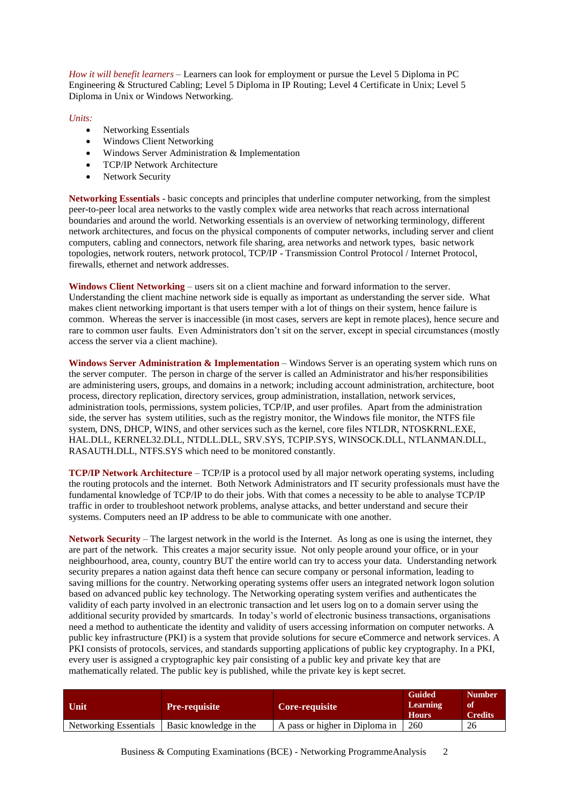*How it will benefit learners* – Learners can look for employment or pursue the Level 5 Diploma in PC Engineering & Structured Cabling; Level 5 Diploma in IP Routing; Level 4 Certificate in Unix; Level 5 Diploma in Unix or Windows Networking.

*Units:*

- Networking Essentials
- Windows Client Networking
- Windows Server Administration & Implementation
- TCP/IP Network Architecture
- Network Security

**Networking Essentials** - basic concepts and principles that underline computer networking, from the simplest peer-to-peer local area networks to the vastly complex wide area networks that reach across international boundaries and around the world. Networking essentials is an overview of networking terminology, different network architectures, and focus on the physical components of computer networks, including server and client computers, cabling and connectors, network file sharing, area networks and network types, basic network topologies, network routers, network protocol, TCP/IP - Transmission Control Protocol / Internet Protocol, firewalls, ethernet and network addresses.

**Windows Client Networking** – users sit on a client machine and forward information to the server. Understanding the client machine network side is equally as important as understanding the server side. What makes client networking important is that users temper with a lot of things on their system, hence failure is common. Whereas the server is inaccessible (in most cases, servers are kept in remote places), hence secure and rare to common user faults. Even Administrators don't sit on the server, except in special circumstances (mostly access the server via a client machine).

**Windows Server Administration & Implementation** – Windows Server is an operating system which runs on the server computer. The person in charge of the server is called an Administrator and his/her responsibilities are administering users, groups, and domains in a network; including account administration, architecture, boot process, directory replication, directory services, group administration, installation, network services, administration tools, permissions, system policies, TCP/IP, and user profiles. Apart from the administration side, the server has system utilities, such as the registry monitor, the Windows file monitor, the NTFS file system, DNS, DHCP, WINS, and other services such as the kernel, core files NTLDR, NTOSKRNL.EXE, HAL.DLL, KERNEL32.DLL, NTDLL.DLL, SRV.SYS, TCPIP.SYS, WINSOCK.DLL, NTLANMAN.DLL, RASAUTH.DLL, NTFS.SYS which need to be monitored constantly.

**TCP/IP Network Architecture** – TCP/IP is a protocol used by all major network operating systems, including the routing protocols and the internet. Both Network Administrators and IT security professionals must have the fundamental knowledge of TCP/IP to do their jobs. With that comes a necessity to be able to analyse TCP/IP traffic in order to troubleshoot network problems, analyse attacks, and better understand and secure their systems. Computers need an IP address to be able to communicate with one another.

**Network Security** – The largest network in the world is the Internet. As long as one is using the internet, they are part of the network. This creates a major security issue. Not only people around your office, or in your neighbourhood, area, county, country BUT the entire world can try to access your data. Understanding network security prepares a nation against data theft hence can secure company or personal information, leading to saving millions for the country. Networking operating systems offer users an integrated network logon solution based on advanced public key technology. The Networking operating system verifies and authenticates the validity of each party involved in an electronic transaction and let users log on to a domain server using the additional security provided by smartcards. In today's world of electronic business transactions, organisations need a method to authenticate the identity and validity of users accessing information on computer networks. A public key infrastructure (PKI) is a system that provide solutions for secure eCommerce and network services. A PKI consists of protocols, services, and standards supporting applications of public key cryptography. In a PKI, every user is assigned a cryptographic key pair consisting of a public key and private key that are mathematically related. The public key is published, while the private key is kept secret.

| <b>Unit</b>           | <b>Pre-requisite</b>   | <b>Core-requisite</b>          | <b>Guided</b><br><b>Learning</b><br><b>Hours</b> | <b>Number</b><br>-of<br><b>Credits</b> |
|-----------------------|------------------------|--------------------------------|--------------------------------------------------|----------------------------------------|
| Networking Essentials | Basic knowledge in the | A pass or higher in Diploma in | 260                                              | 26                                     |

Business & Computing Examinations (BCE) - Networking ProgrammeAnalysis 2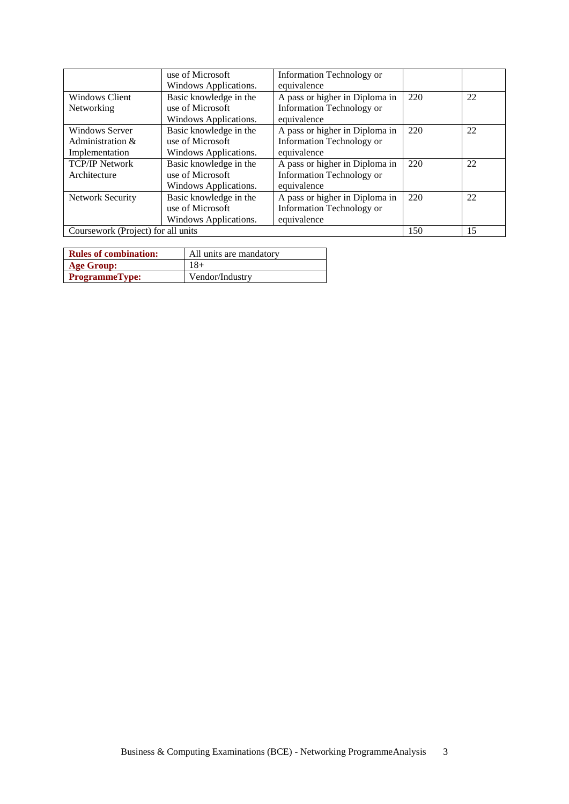|                         | use of Microsoft                   | <b>Information Technology or</b> |     |    |  |
|-------------------------|------------------------------------|----------------------------------|-----|----|--|
|                         | Windows Applications.              | equivalence                      |     |    |  |
| <b>Windows Client</b>   | Basic knowledge in the             | A pass or higher in Diploma in   | 220 | 22 |  |
| Networking              | use of Microsoft                   | Information Technology or        |     |    |  |
|                         | Windows Applications.              | equivalence                      |     |    |  |
| Windows Server          | Basic knowledge in the             | A pass or higher in Diploma in   | 220 | 22 |  |
| Administration &        | use of Microsoft                   | <b>Information Technology or</b> |     |    |  |
| Implementation          | Windows Applications.              | equivalence                      |     |    |  |
| <b>TCP/IP Network</b>   | Basic knowledge in the             | A pass or higher in Diploma in   | 220 | 22 |  |
| Architecture            | use of Microsoft                   | Information Technology or        |     |    |  |
|                         | Windows Applications.              | equivalence                      |     |    |  |
| <b>Network Security</b> | Basic knowledge in the             | A pass or higher in Diploma in   | 220 | 22 |  |
|                         | use of Microsoft                   | <b>Information Technology or</b> |     |    |  |
|                         | Windows Applications.              | equivalence                      |     |    |  |
|                         | Coursework (Project) for all units |                                  |     |    |  |

| <b>Rules of combination:</b> | All units are mandatory |
|------------------------------|-------------------------|
| Age Group:                   | $18+$                   |
| <b>ProgrammeType:</b>        | Vendor/Industry         |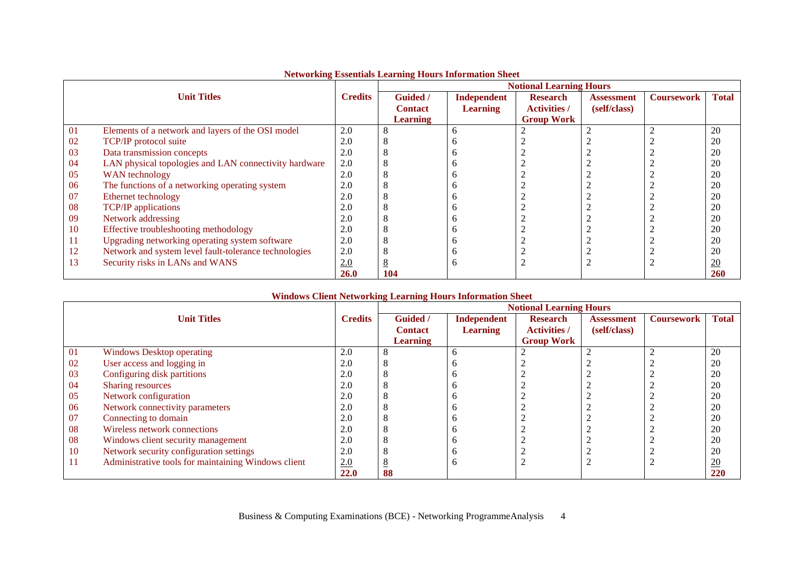|    |                                                       |                | $\sim$ . The contract of the contract of the contract of the contract of $\sim$ $\sim$ $\sim$ | <b>Notional Learning Hours</b> |                     |                   |                   |                  |  |
|----|-------------------------------------------------------|----------------|-----------------------------------------------------------------------------------------------|--------------------------------|---------------------|-------------------|-------------------|------------------|--|
|    | <b>Unit Titles</b>                                    | <b>Credits</b> | Guided /                                                                                      | Independent                    | <b>Research</b>     | <b>Assessment</b> | <b>Coursework</b> | <b>Total</b>     |  |
|    |                                                       |                | <b>Contact</b>                                                                                | <b>Learning</b>                | <b>Activities /</b> | (self/class)      |                   |                  |  |
|    |                                                       |                | <b>Learning</b>                                                                               |                                | <b>Group Work</b>   |                   |                   |                  |  |
| 01 | Elements of a network and layers of the OSI model     | 2.0            | 8                                                                                             | n                              |                     |                   |                   | 20               |  |
| 02 | TCP/IP protocol suite                                 | 2.0            | Õ                                                                                             |                                |                     |                   |                   | 20               |  |
| 03 | Data transmission concepts                            | 2.0            | 8                                                                                             |                                |                     |                   |                   | 20               |  |
| 04 | LAN physical topologies and LAN connectivity hardware | 2.0            | 8                                                                                             |                                |                     |                   |                   | 20               |  |
| 05 | WAN technology                                        | 2.0            | 8                                                                                             |                                |                     |                   |                   | 20               |  |
| 06 | The functions of a networking operating system        | 2.0            | 8                                                                                             |                                |                     |                   |                   | 20               |  |
| 07 | Ethernet technology                                   | 2.0            | 8                                                                                             | n                              |                     |                   |                   | 20               |  |
| 08 | <b>TCP/IP</b> applications                            | 2.0            | 8                                                                                             | n                              |                     |                   |                   | 20               |  |
| 09 | Network addressing                                    | 2.0            | 8                                                                                             | n                              |                     |                   |                   | 20               |  |
| 10 | Effective troubleshooting methodology                 | 2.0            | 8                                                                                             | n                              |                     |                   |                   | 20               |  |
| 11 | Upgrading networking operating system software        | 2.0            | 8                                                                                             | n                              |                     |                   |                   | 20               |  |
| 12 | Network and system level fault-tolerance technologies | 2.0            |                                                                                               | n                              |                     |                   |                   | 20               |  |
| 13 | Security risks in LANs and WANS                       | 2.0            | 8                                                                                             | n                              |                     |                   |                   | $\underline{20}$ |  |
|    |                                                       | <b>26.0</b>    | 104                                                                                           |                                |                     |                   |                   | <b>260</b>       |  |

### **Networking Essentials Learning Hours Information Sheet**

|    |                                                     |                | <b>Notional Learning Hours</b> |                 |                     |                   |                   |                  |  |
|----|-----------------------------------------------------|----------------|--------------------------------|-----------------|---------------------|-------------------|-------------------|------------------|--|
|    | <b>Unit Titles</b>                                  | <b>Credits</b> | <b>Guided</b> /                | Independent     | <b>Research</b>     | <b>Assessment</b> | <b>Coursework</b> | <b>Total</b>     |  |
|    |                                                     |                | <b>Contact</b>                 | <b>Learning</b> | <b>Activities</b> / | (self/class)      |                   |                  |  |
|    |                                                     |                | <b>Learning</b>                |                 | <b>Group Work</b>   |                   |                   |                  |  |
| 01 | <b>Windows Desktop operating</b>                    | 2.0            | Ω                              |                 |                     |                   | Δ                 | 20               |  |
| 02 | User access and logging in                          | 2.0            | $\circ$                        |                 |                     |                   |                   | 20               |  |
| 03 | Configuring disk partitions                         | 2.0            | Ω                              |                 |                     |                   |                   | 20               |  |
| 04 | Sharing resources                                   | 2.0            | Ω                              |                 |                     |                   |                   | 20               |  |
| 05 | Network configuration                               | 2.0            | Λ                              |                 |                     |                   |                   | 20               |  |
| 06 | Network connectivity parameters                     | 2.0            | Λ                              |                 |                     |                   |                   | 20               |  |
| 07 | Connecting to domain                                | 2.0            | Ω                              |                 |                     |                   |                   | 20               |  |
| 08 | Wireless network connections                        | 2.0            | Λ                              |                 |                     |                   |                   | 20               |  |
| 08 | Windows client security management                  | 2.0            | Λ                              |                 |                     |                   |                   | 20               |  |
| 10 | Network security configuration settings             | 2.0            | ◠                              |                 |                     |                   |                   | 20               |  |
| 11 | Administrative tools for maintaining Windows client | 2.0            | -                              |                 |                     |                   |                   | $\underline{20}$ |  |
|    |                                                     | 22.0           | 88                             |                 |                     |                   |                   | 220              |  |

### **Windows Client Networking Learning Hours Information Sheet**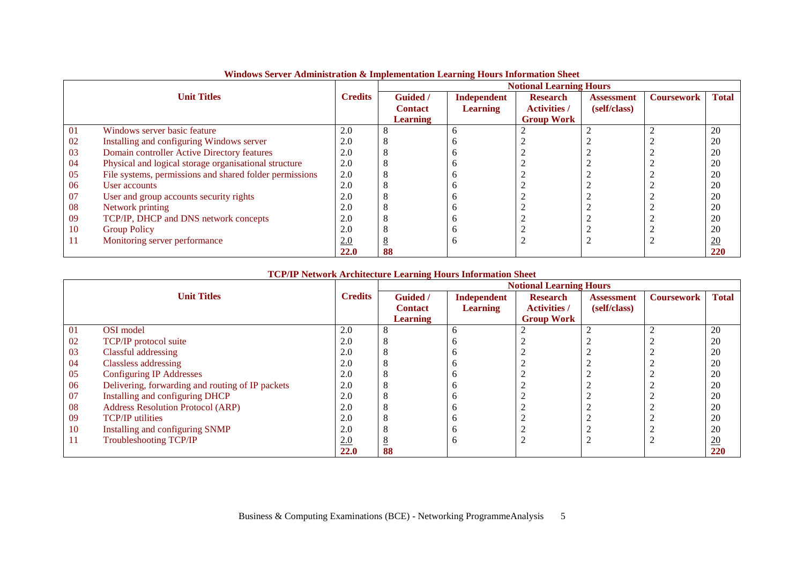|    |                                                         |                |                 |                 | <b>Notional Learning Hours</b> |                   |                   |                  |
|----|---------------------------------------------------------|----------------|-----------------|-----------------|--------------------------------|-------------------|-------------------|------------------|
|    | <b>Unit Titles</b>                                      | <b>Credits</b> | <b>Guided</b> / | Independent     | <b>Research</b>                | <b>Assessment</b> | <b>Coursework</b> | <b>Total</b>     |
|    |                                                         |                | <b>Contact</b>  | <b>Learning</b> | <b>Activities /</b>            | (self/class)      |                   |                  |
|    |                                                         |                | <b>Learning</b> |                 | <b>Group Work</b>              |                   |                   |                  |
| 01 | Windows server basic feature                            | 2.0            |                 | <sub>0</sub>    |                                |                   |                   | 20               |
| 02 | Installing and configuring Windows server               | 2.0            |                 |                 |                                |                   |                   | 20               |
| 03 | Domain controller Active Directory features             | 2.0            |                 | n               |                                |                   |                   | 20               |
| 04 | Physical and logical storage organisational structure   | 2.0            |                 |                 |                                |                   |                   | 20               |
| 05 | File systems, permissions and shared folder permissions | 2.0            |                 |                 |                                |                   |                   | 20               |
| 06 | User accounts                                           | 2.0            |                 |                 |                                |                   |                   | 20               |
| 07 | User and group accounts security rights                 | 2.0            |                 |                 |                                |                   |                   | 20               |
| 08 | Network printing                                        | 2.0            |                 | n               |                                |                   |                   | 20               |
| 09 | TCP/IP, DHCP and DNS network concepts                   | 2.0            |                 |                 |                                |                   |                   | 20               |
| 10 | <b>Group Policy</b>                                     | 2.0            |                 |                 |                                |                   |                   | 20               |
| 11 | Monitoring server performance                           | 2.0            |                 | h               |                                |                   |                   | $\underline{20}$ |
|    |                                                         | <b>22.0</b>    | 88              |                 |                                |                   |                   | 220              |

# **Windows Server Administration & Implementation Learning Hours Information Sheet**

### **TCP/IP Network Architecture Learning Hours Information Sheet**

|           |                                                  |                | <b>Notional Learning Hours</b> |                 |                     |                   |                   |                  |  |
|-----------|--------------------------------------------------|----------------|--------------------------------|-----------------|---------------------|-------------------|-------------------|------------------|--|
|           | <b>Unit Titles</b>                               | <b>Credits</b> | <b>Guided</b> /                | Independent     | <b>Research</b>     | <b>Assessment</b> | <b>Coursework</b> | <b>Total</b>     |  |
|           |                                                  |                | <b>Contact</b>                 | <b>Learning</b> | <b>Activities /</b> | (self/class)      |                   |                  |  |
|           |                                                  |                | <b>Learning</b>                |                 | <b>Group Work</b>   |                   |                   |                  |  |
| 01        | OSI model                                        | 2.0            | 8                              | n               |                     |                   |                   | 20               |  |
| -02       | TCP/IP protocol suite                            | 2.0            | 8                              |                 |                     |                   |                   | 20               |  |
| 03        | Classful addressing                              | 2.0            | 8                              |                 |                     |                   |                   | 20               |  |
| 04        | <b>Classless addressing</b>                      | 2.0            | 8                              |                 |                     |                   |                   | 20               |  |
| 05        | <b>Configuring IP Addresses</b>                  | 2.0            | 8                              |                 |                     |                   |                   | 20               |  |
| 06        | Delivering, forwarding and routing of IP packets | 2.0            | 8                              |                 |                     |                   |                   | 20               |  |
| 07        | Installing and configuring DHCP                  | 2.0            | 8                              |                 |                     |                   |                   | 20               |  |
| 08        | <b>Address Resolution Protocol (ARP)</b>         | 2.0            | 8                              |                 |                     |                   |                   | 20               |  |
| -09       | <b>TCP/IP</b> utilities                          | 2.0            | ◠                              |                 |                     |                   |                   | 20               |  |
| <b>10</b> | Installing and configuring SNMP                  | 2.0            | ◠                              |                 |                     |                   |                   | 20               |  |
| -11       | <b>Troubleshooting TCP/IP</b>                    | 2.0            | 8                              | <sub>0</sub>    |                     |                   |                   | $\underline{20}$ |  |
|           |                                                  | 22.0           | 88                             |                 |                     |                   |                   | 220              |  |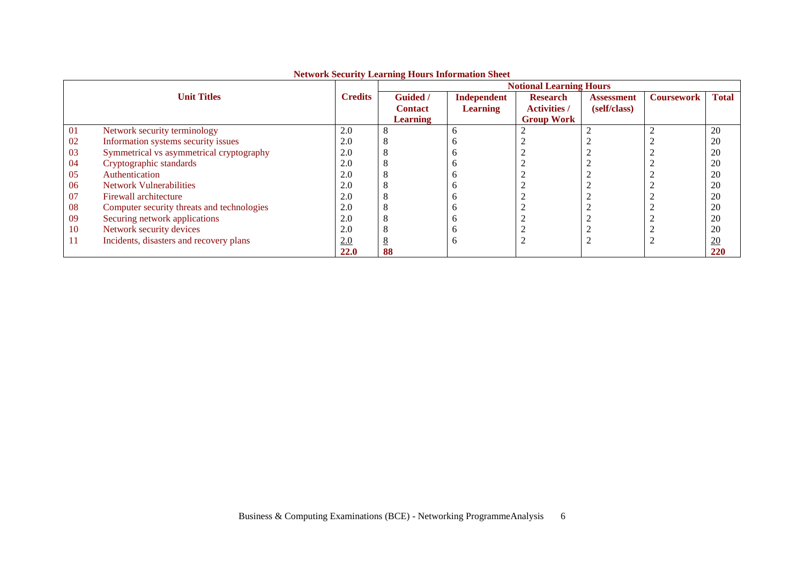|    |                                            | Two work becaming Ecarining models information bifect | <b>Notional Learning Hours</b> |                 |                     |                   |                   |                  |  |
|----|--------------------------------------------|-------------------------------------------------------|--------------------------------|-----------------|---------------------|-------------------|-------------------|------------------|--|
|    | <b>Unit Titles</b>                         | <b>Credits</b>                                        | <b>Guided</b> /                | Independent     | <b>Research</b>     | <b>Assessment</b> | <b>Coursework</b> | <b>Total</b>     |  |
|    |                                            |                                                       | <b>Contact</b>                 | <b>Learning</b> | <b>Activities /</b> | (self/class)      |                   |                  |  |
|    |                                            |                                                       | <b>Learning</b>                |                 | <b>Group Work</b>   |                   |                   |                  |  |
| 01 | Network security terminology               | 2.0                                                   | 8                              |                 |                     |                   |                   | 20               |  |
| 02 | Information systems security issues        | 2.0                                                   | C                              |                 |                     |                   |                   | 20               |  |
| 03 | Symmetrical vs asymmetrical cryptography   | 2.0                                                   |                                |                 |                     |                   |                   | 20               |  |
| 04 | Cryptographic standards                    | 2.0                                                   | ◠                              |                 |                     |                   |                   | 20               |  |
| 05 | Authentication                             | 2.0                                                   |                                |                 |                     |                   |                   | 20               |  |
| 06 | <b>Network Vulnerabilities</b>             | 2.0                                                   | C                              |                 |                     |                   |                   | 20               |  |
| 07 | Firewall architecture                      | 2.0                                                   | C                              |                 |                     |                   |                   | 20               |  |
| 08 | Computer security threats and technologies | 2.0                                                   | Õ                              |                 |                     |                   |                   | 20               |  |
| 09 | Securing network applications              | 2.0                                                   |                                |                 |                     |                   |                   | 20               |  |
| 10 | Network security devices                   | 2.0                                                   | ◠                              |                 |                     |                   |                   | 20               |  |
| 11 | Incidents, disasters and recovery plans    | 2.0                                                   | 8                              |                 |                     |                   |                   | $\underline{20}$ |  |
|    |                                            | <b>22.0</b>                                           | 88                             |                 |                     |                   |                   | 220              |  |

# **Network Security Learning Hours Information Sheet**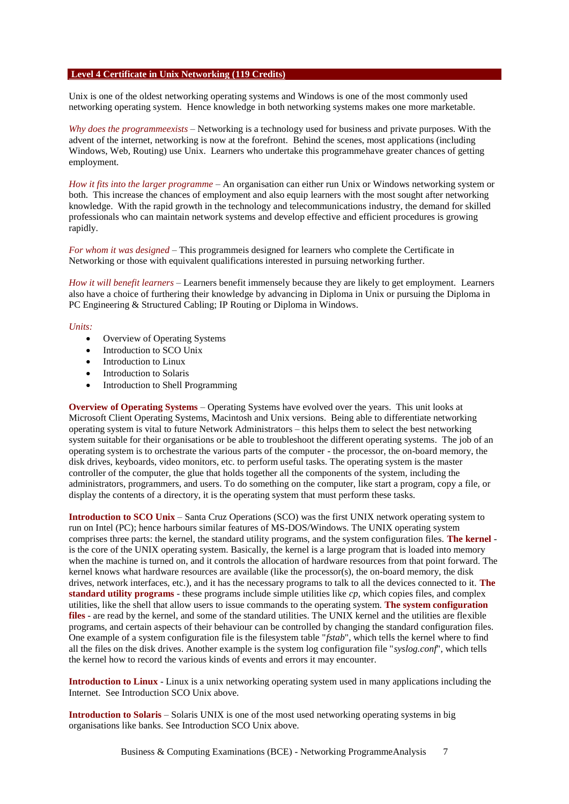#### **Level 4 Certificate in Unix Networking (119 Credits)**

Unix is one of the oldest networking operating systems and Windows is one of the most commonly used networking operating system. Hence knowledge in both networking systems makes one more marketable.

*Why does the programmeexists* – Networking is a technology used for business and private purposes. With the advent of the internet, networking is now at the forefront. Behind the scenes, most applications (including Windows, Web, Routing) use Unix. Learners who undertake this programmehave greater chances of getting employment.

*How it fits into the larger programme* – An organisation can either run Unix or Windows networking system or both. This increase the chances of employment and also equip learners with the most sought after networking knowledge. With the rapid growth in the technology and telecommunications industry, the demand for skilled professionals who can maintain network systems and develop effective and efficient procedures is growing rapidly.

*For whom it was designed* – This programmeis designed for learners who complete the Certificate in Networking or those with equivalent qualifications interested in pursuing networking further.

*How it will benefit learners* – Learners benefit immensely because they are likely to get employment. Learners also have a choice of furthering their knowledge by advancing in Diploma in Unix or pursuing the Diploma in PC Engineering & Structured Cabling; IP Routing or Diploma in Windows.

#### *Units:*

- Overview of Operating Systems
- Introduction to SCO Unix
- Introduction to Linux
- Introduction to Solaris
- Introduction to Shell Programming

**Overview of Operating Systems** – Operating Systems have evolved over the years. This unit looks at Microsoft Client Operating Systems, Macintosh and Unix versions. Being able to differentiate networking operating system is vital to future Network Administrators – this helps them to select the best networking system suitable for their organisations or be able to troubleshoot the different operating systems. The job of an operating system is to orchestrate the various parts of the computer - the processor, the on-board memory, the disk drives, keyboards, video monitors, etc. to perform useful tasks. The operating system is the master controller of the computer, the glue that holds together all the components of the system, including the administrators, programmers, and users. To do something on the computer, like start a program, copy a file, or display the contents of a directory, it is the operating system that must perform these tasks.

**Introduction to SCO Unix** – Santa Cruz Operations (SCO) was the first UNIX network operating system to run on Intel (PC); hence harbours similar features of MS-DOS/Windows. The UNIX operating system comprises three parts: the kernel, the standard utility programs, and the system configuration files. **The kernel** is the core of the UNIX operating system. Basically, the kernel is a large program that is loaded into memory when the machine is turned on, and it controls the allocation of hardware resources from that point forward. The kernel knows what hardware resources are available (like the processor(s), the on-board memory, the disk drives, network interfaces, etc.), and it has the necessary programs to talk to all the devices connected to it. **The standard utility programs** - these programs include simple utilities like *cp*, which copies files, and complex utilities, like the shell that allow users to issue commands to the operating system. **The system configuration files** - are read by the kernel, and some of the standard utilities. The UNIX kernel and the utilities are flexible programs, and certain aspects of their behaviour can be controlled by changing the standard configuration files. One example of a system configuration file is the filesystem table "*fstab*", which tells the kernel where to find all the files on the disk drives. Another example is the system log configuration file "*syslog.conf*", which tells the kernel how to record the various kinds of events and errors it may encounter.

**Introduction to Linux** - Linux is a unix networking operating system used in many applications including the Internet. See Introduction SCO Unix above.

**Introduction to Solaris** – Solaris UNIX is one of the most used networking operating systems in big organisations like banks. See Introduction SCO Unix above.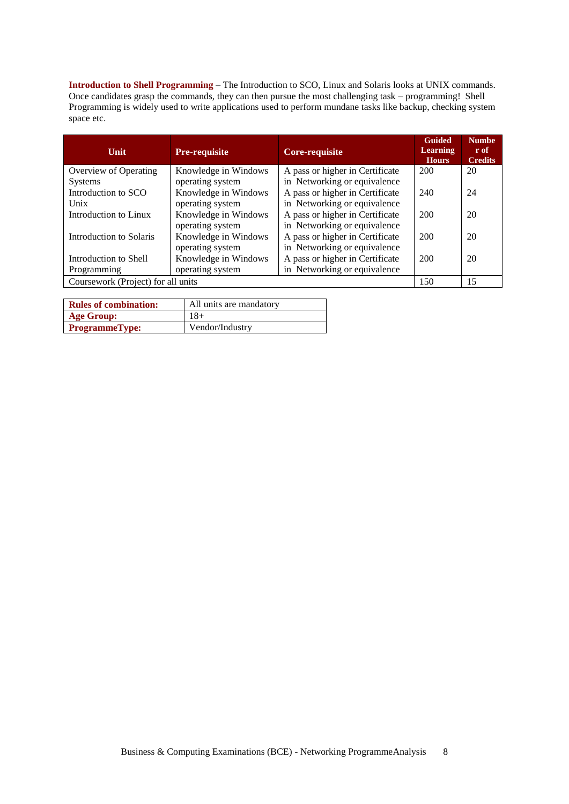**Introduction to Shell Programming** – The Introduction to SCO, Linux and Solaris looks at UNIX commands. Once candidates grasp the commands, they can then pursue the most challenging task – programming! Shell Programming is widely used to write applications used to perform mundane tasks like backup, checking system space etc.

| <b>Unit</b>                        | <b>Pre-requisite</b> | Core-requisite                  | <b>Guided</b><br><b>Learning</b><br><b>Hours</b> | Numbe <sub>1</sub><br>r of<br><b>Credits</b> |
|------------------------------------|----------------------|---------------------------------|--------------------------------------------------|----------------------------------------------|
| Overview of Operating              | Knowledge in Windows | A pass or higher in Certificate | 200                                              | 20                                           |
| <b>Systems</b>                     | operating system     | in Networking or equivalence    |                                                  |                                              |
| Introduction to SCO                | Knowledge in Windows | A pass or higher in Certificate | 240                                              | 24                                           |
| Unix                               | operating system     | in Networking or equivalence    |                                                  |                                              |
| Introduction to Linux              | Knowledge in Windows | A pass or higher in Certificate | 200                                              | 20                                           |
|                                    | operating system     | in Networking or equivalence    |                                                  |                                              |
| <b>Introduction to Solaris</b>     | Knowledge in Windows | A pass or higher in Certificate | 200                                              | 20                                           |
|                                    | operating system     | in Networking or equivalence    |                                                  |                                              |
| Introduction to Shell              | Knowledge in Windows | A pass or higher in Certificate | 200                                              | 20                                           |
| Programming                        | operating system     | in Networking or equivalence    |                                                  |                                              |
| Coursework (Project) for all units |                      |                                 | 150                                              | 15                                           |

| <b>Rules of combination:</b> | All units are mandatory |
|------------------------------|-------------------------|
| <b>Age Group:</b>            | 18+                     |
| <b>ProgrammeType:</b>        | Vendor/Industry         |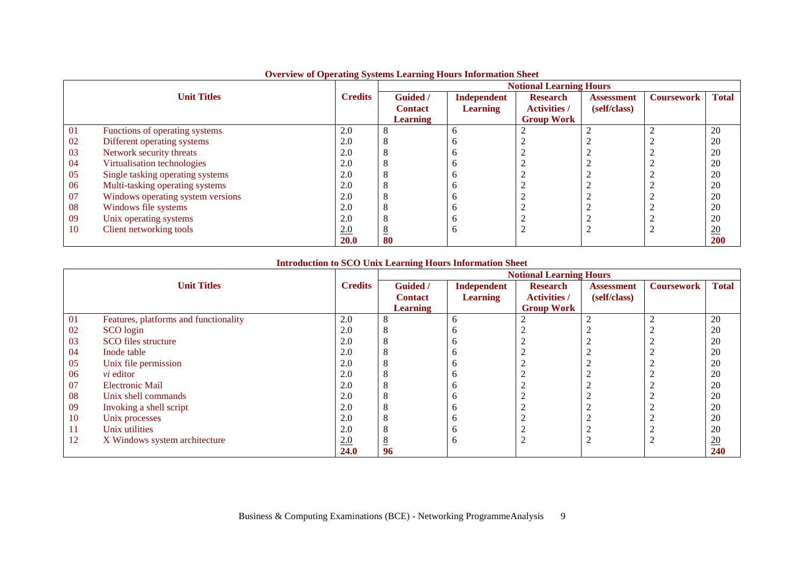|    |                                   |                |                 |                 | <b>Notional Learning Hours</b> |                   |                   |              |
|----|-----------------------------------|----------------|-----------------|-----------------|--------------------------------|-------------------|-------------------|--------------|
|    | <b>Unit Titles</b>                | <b>Credits</b> | Guided /        | Independent     | <b>Research</b>                | <b>Assessment</b> | <b>Coursework</b> | <b>Total</b> |
|    |                                   |                | <b>Contact</b>  | <b>Learning</b> | <b>Activities</b> /            | (self/class)      |                   |              |
|    |                                   |                | <b>Learning</b> |                 | <b>Group Work</b>              |                   |                   |              |
| 01 | Functions of operating systems    | 2.0            |                 | <sub>0</sub>    |                                |                   |                   | 20           |
| 02 | Different operating systems       | 2.0            |                 |                 |                                |                   |                   | 20           |
| 03 | Network security threats          | 2.0            |                 |                 |                                |                   |                   | 20           |
| 04 | Virtualisation technologies       | 2.0            |                 | n               |                                |                   |                   | 20           |
| 05 | Single tasking operating systems  | 2.0            |                 | n               |                                |                   |                   | 20           |
| 06 | Multi-tasking operating systems   | 2.0            |                 | n               |                                |                   |                   | 20           |
| 07 | Windows operating system versions | 2.0            |                 | n               | $\sim$                         |                   |                   | 20           |
| 08 | Windows file systems              | 2.0            |                 | n               |                                |                   |                   | 20           |
| 09 | Unix operating systems            | 2.0            |                 |                 |                                |                   |                   | 20           |
| 10 | Client networking tools           | 2.0            |                 | <sub>0</sub>    |                                |                   |                   | 20           |
|    |                                   | <b>20.0</b>    | 80              |                 |                                |                   |                   | 200          |

### **Overview of Operating Systems Learning Hours Information Sheet**

# **Introduction to SCO Unix Learning Hours Information Sheet**

|    |                                       |                |                 |                 | <b>Notional Learning Hours</b> |                   |                   |              |
|----|---------------------------------------|----------------|-----------------|-----------------|--------------------------------|-------------------|-------------------|--------------|
|    | <b>Unit Titles</b>                    | <b>Credits</b> | Guided /        | Independent     | <b>Research</b>                | <b>Assessment</b> | <b>Coursework</b> | <b>Total</b> |
|    |                                       |                | <b>Contact</b>  | <b>Learning</b> | <b>Activities /</b>            | (self/class)      |                   |              |
|    |                                       |                | <b>Learning</b> |                 | <b>Group Work</b>              |                   |                   |              |
| 01 | Features, platforms and functionality | 2.0            |                 | b               |                                |                   |                   | 20           |
| 02 | SCO login                             | 2.0            |                 |                 |                                |                   |                   | 20           |
| 03 | SCO files structure                   | 2.0            |                 | n               |                                |                   |                   | 20           |
| 04 | Inode table                           | 2.0            |                 | n               |                                |                   |                   | 20           |
| 05 | Unix file permission                  | 2.0            |                 |                 |                                |                   |                   | 20           |
| 06 | <i>vi</i> editor                      | 2.0            |                 | n               |                                |                   |                   | 20           |
| 07 | <b>Electronic Mail</b>                | 2.0            |                 | n               |                                |                   |                   | 20           |
| 08 | Unix shell commands                   | 2.0            |                 | n               |                                |                   |                   | 20           |
| 09 | Invoking a shell script               | 2.0            |                 | n               | $\sqrt{2}$                     |                   |                   | 20           |
| 10 | Unix processes                        | 2.0            |                 | n               |                                |                   |                   | 20           |
| 11 | Unix utilities                        | 2.0            |                 | n               |                                |                   |                   | 20           |
| 12 | X Windows system architecture         | 2.0            |                 | h               | ി<br>$\sqrt{2}$                |                   |                   | 20           |
|    |                                       | 24.0           | 96              |                 |                                |                   |                   | 240          |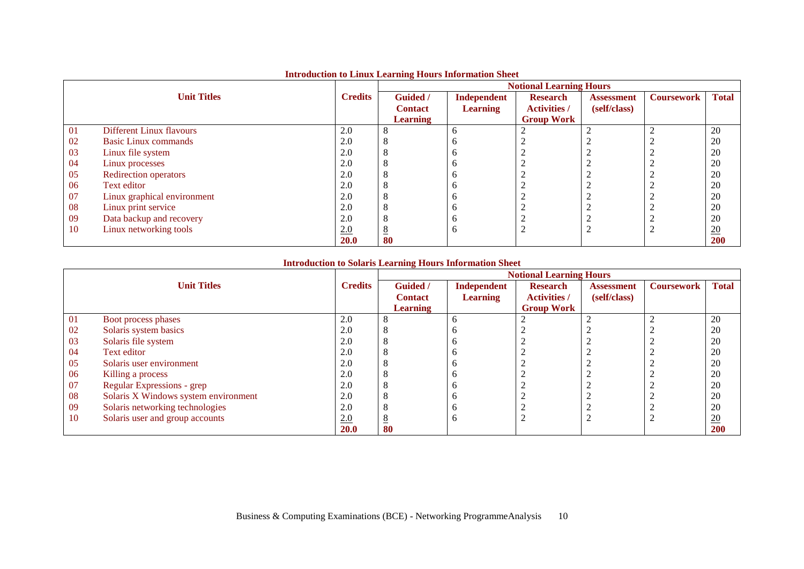|    |                                 |                | $\sim$          |                 | <b>Notional Learning Hours</b> |                   |                   |              |
|----|---------------------------------|----------------|-----------------|-----------------|--------------------------------|-------------------|-------------------|--------------|
|    | <b>Unit Titles</b>              | <b>Credits</b> | Guided /        | Independent     | <b>Research</b>                | <b>Assessment</b> | <b>Coursework</b> | <b>Total</b> |
|    |                                 |                | <b>Contact</b>  | <b>Learning</b> | <b>Activities /</b>            | (self/class)      |                   |              |
|    |                                 |                | <b>Learning</b> |                 | <b>Group Work</b>              |                   |                   |              |
| 01 | <b>Different Linux flavours</b> | 2.0            |                 | h               |                                |                   |                   | 20           |
| 02 | Basic Linux commands            | 2.0            |                 |                 |                                |                   |                   | 20           |
| 03 | Linux file system               | 2.0            |                 |                 |                                |                   |                   | 20           |
| 04 | Linux processes                 | 2.0            |                 | n               |                                |                   |                   | 20           |
| 05 | <b>Redirection operators</b>    | 2.0            |                 | n               |                                |                   |                   | 20           |
| 06 | Text editor                     | 2.0            |                 | n               |                                |                   |                   | 20           |
| 07 | Linux graphical environment     | 2.0            |                 | n               |                                |                   |                   | 20           |
| 08 | Linux print service             | 2.0            |                 | n               |                                |                   |                   | 20           |
| 09 | Data backup and recovery        | 2.0            |                 |                 |                                |                   |                   | 20           |
| 10 | Linux networking tools          | 2.0            |                 | n               |                                | $\sim$            |                   | 20           |
|    |                                 | 20.0           | 80              |                 |                                |                   |                   | <b>200</b>   |

# **Introduction to Linux Learning Hours Information Sheet**

# **Introduction to Solaris Learning Hours Information Sheet**

|    |                                      |                | <b>Notional Learning Hours</b> |                 |                     |                   |                   |              |  |
|----|--------------------------------------|----------------|--------------------------------|-----------------|---------------------|-------------------|-------------------|--------------|--|
|    | <b>Unit Titles</b>                   | <b>Credits</b> | Guided /                       | Independent     | <b>Research</b>     | <b>Assessment</b> | <b>Coursework</b> | <b>Total</b> |  |
|    |                                      |                | <b>Contact</b>                 | <b>Learning</b> | <b>Activities /</b> | (self/class)      |                   |              |  |
|    |                                      |                | <b>Learning</b>                |                 | <b>Group Work</b>   |                   |                   |              |  |
| 01 | Boot process phases                  | 2.0            |                                | n               |                     |                   |                   | 20           |  |
| 02 | Solaris system basics                | 2.0            |                                | Л               |                     |                   |                   | 20           |  |
| 03 | Solaris file system                  | 2.0            |                                |                 |                     |                   |                   | 20           |  |
| 04 | Text editor                          | 2.0            |                                | O               |                     |                   |                   | 20           |  |
| 05 | Solaris user environment             | 2.0            |                                |                 |                     |                   |                   | 20           |  |
| 06 | Killing a process                    | 2.0            |                                | Л               |                     |                   |                   | 20           |  |
| 07 | Regular Expressions - grep           | 2.0            |                                |                 |                     |                   |                   | 20           |  |
| 08 | Solaris X Windows system environment | 2.0            |                                | n               |                     |                   |                   | 20           |  |
| 09 | Solaris networking technologies      | 2.0            |                                |                 |                     |                   |                   | 20           |  |
| 10 | Solaris user and group accounts      | 2.0            |                                | <sup>0</sup>    |                     |                   |                   | 20           |  |
|    |                                      | <b>20.0</b>    | 80                             |                 |                     |                   |                   | 200          |  |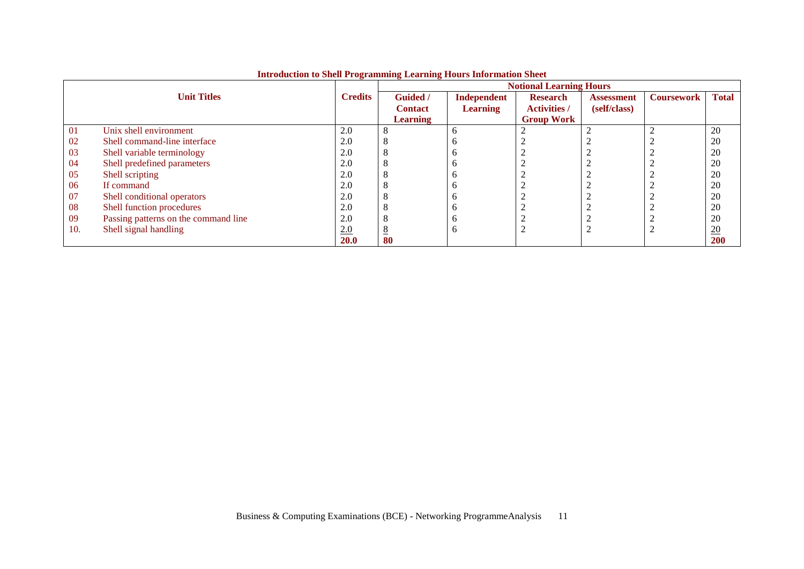|     |                                      |                |                 |                 | <b>Notional Learning Hours</b> |                   |                   |              |
|-----|--------------------------------------|----------------|-----------------|-----------------|--------------------------------|-------------------|-------------------|--------------|
|     | <b>Unit Titles</b>                   | <b>Credits</b> | <b>Guided</b> / | Independent     | <b>Research</b>                | <b>Assessment</b> | <b>Coursework</b> | <b>Total</b> |
|     |                                      |                | <b>Contact</b>  | <b>Learning</b> | <b>Activities</b> /            | (self/class)      |                   |              |
|     |                                      |                | <b>Learning</b> |                 | <b>Group Work</b>              |                   |                   |              |
| 01  | Unix shell environment               | 2.0            | ∩               | <sub>0</sub>    |                                |                   |                   | 20           |
| 02  | Shell command-line interface         | 2.0            | 8               |                 |                                |                   |                   | 20           |
| 03  | Shell variable terminology           | 2.0            |                 |                 |                                |                   |                   | 20           |
| 04  | Shell predefined parameters          | 2.0            | Õ               | n               |                                |                   |                   | 20           |
| 05  | Shell scripting                      | 2.0            | 8               | n               |                                |                   |                   | 20           |
| 06  | If command                           | 2.0            | 8               | n               |                                |                   |                   | 20           |
| 07  | Shell conditional operators          | 2.0            | O               |                 |                                |                   |                   | 20           |
| 08  | Shell function procedures            | 2.0            | ◠               | n               |                                |                   |                   | 20           |
| 09  | Passing patterns on the command line | 2.0            |                 |                 |                                |                   |                   | 20           |
| 10. | Shell signal handling                | 2.0            | 8               | <sub>0</sub>    |                                |                   |                   | 20           |
|     |                                      | <b>20.0</b>    | 80              |                 |                                |                   |                   | <b>200</b>   |

# **Introduction to Shell Programming Learning Hours Information Sheet**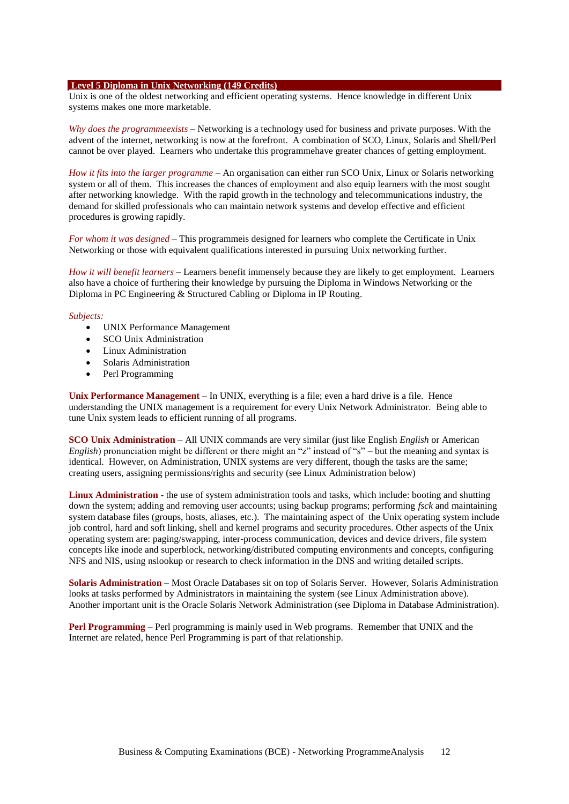#### **Level 5 Diploma in Unix Networking (149 Credits)**

Unix is one of the oldest networking and efficient operating systems. Hence knowledge in different Unix systems makes one more marketable.

*Why does the programmeexists* – Networking is a technology used for business and private purposes. With the advent of the internet, networking is now at the forefront. A combination of SCO, Linux, Solaris and Shell/Perl cannot be over played. Learners who undertake this programmehave greater chances of getting employment.

*How it fits into the larger programme* – An organisation can either run SCO Unix, Linux or Solaris networking system or all of them. This increases the chances of employment and also equip learners with the most sought after networking knowledge. With the rapid growth in the technology and telecommunications industry, the demand for skilled professionals who can maintain network systems and develop effective and efficient procedures is growing rapidly.

*For whom it was designed* – This programmeis designed for learners who complete the Certificate in Unix Networking or those with equivalent qualifications interested in pursuing Unix networking further.

*How it will benefit learners* – Learners benefit immensely because they are likely to get employment. Learners also have a choice of furthering their knowledge by pursuing the Diploma in Windows Networking or the Diploma in PC Engineering & Structured Cabling or Diploma in IP Routing.

#### *Subjects:*

- UNIX Performance Management
- SCO Unix Administration
- Linux Administration
- Solaris Administration
- Perl Programming

**Unix Performance Management** – In UNIX, everything is a file; even a hard drive is a file. Hence understanding the UNIX management is a requirement for every Unix Network Administrator. Being able to tune Unix system leads to efficient running of all programs.

**SCO Unix Administration** – All UNIX commands are very similar (just like English *English* or American *English*) pronunciation might be different or there might an "z" instead of "s" – but the meaning and syntax is identical. However, on Administration, UNIX systems are very different, though the tasks are the same; creating users, assigning permissions/rights and security (see Linux Administration below)

**Linux Administration** - the use of system administration tools and tasks, which include: booting and shutting down the system; adding and removing user accounts; using backup programs; performing *fsck* and maintaining system database files (groups, hosts, aliases, etc.). The maintaining aspect of the Unix operating system include job control, hard and soft linking, shell and kernel programs and security procedures. Other aspects of the Unix operating system are: paging/swapping, inter-process communication, devices and device drivers, file system concepts like inode and superblock, networking/distributed computing environments and concepts, configuring NFS and NIS, using nslookup or research to check information in the DNS and writing detailed scripts.

**Solaris Administration** – Most Oracle Databases sit on top of Solaris Server. However, Solaris Administration looks at tasks performed by Administrators in maintaining the system (see Linux Administration above). Another important unit is the Oracle Solaris Network Administration (see Diploma in Database Administration).

**Perl Programming** – Perl programming is mainly used in Web programs. Remember that UNIX and the Internet are related, hence Perl Programming is part of that relationship.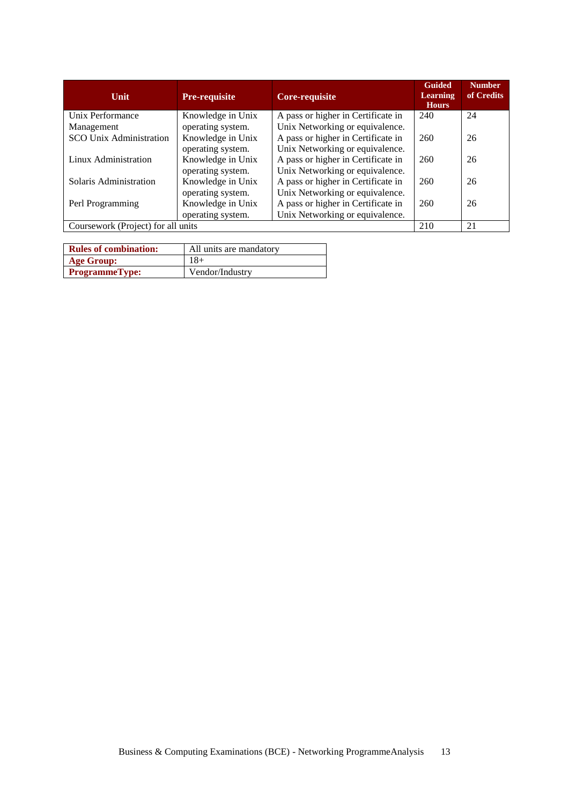| <b>Unit</b>                        | <b>Pre-requisite</b> | <b>Core-requisite</b>              | <b>Guided</b><br><b>Learning</b><br><b>Hours</b> | <b>Number</b><br>of Credits |
|------------------------------------|----------------------|------------------------------------|--------------------------------------------------|-----------------------------|
| Unix Performance                   | Knowledge in Unix    | A pass or higher in Certificate in | 240                                              | 24                          |
| Management                         | operating system.    | Unix Networking or equivalence.    |                                                  |                             |
| <b>SCO Unix Administration</b>     | Knowledge in Unix    | A pass or higher in Certificate in | 260                                              | 26                          |
|                                    | operating system.    | Unix Networking or equivalence.    |                                                  |                             |
| Linux Administration               | Knowledge in Unix    | A pass or higher in Certificate in | 260                                              | 26                          |
|                                    | operating system.    | Unix Networking or equivalence.    |                                                  |                             |
| Solaris Administration             | Knowledge in Unix    | A pass or higher in Certificate in | 260                                              | 26                          |
|                                    | operating system.    | Unix Networking or equivalence.    |                                                  |                             |
| Perl Programming                   | Knowledge in Unix    | A pass or higher in Certificate in | 260                                              | 26                          |
|                                    | operating system.    | Unix Networking or equivalence.    |                                                  |                             |
| Coursework (Project) for all units |                      |                                    | 210                                              | 21                          |

| <b>Rules of combination:</b> | All units are mandatory |
|------------------------------|-------------------------|
| <b>Age Group:</b>            | 18+                     |
| <b>ProgrammeType:</b>        | Vendor/Industry         |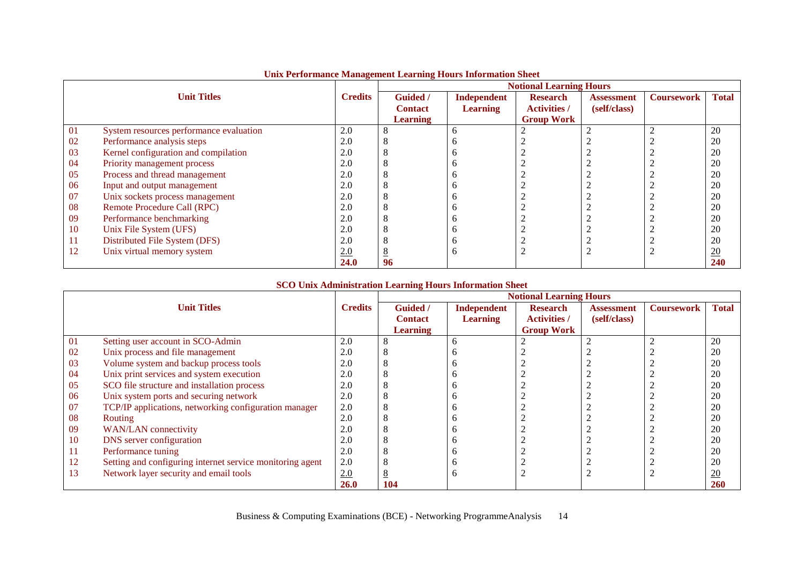|    |                                         |                |                 |                 | <b>Notional Learning Hours</b> |                   |                   |                  |
|----|-----------------------------------------|----------------|-----------------|-----------------|--------------------------------|-------------------|-------------------|------------------|
|    | <b>Unit Titles</b>                      | <b>Credits</b> | <b>Guided</b> / | Independent     | <b>Research</b>                | <b>Assessment</b> | <b>Coursework</b> | <b>Total</b>     |
|    |                                         |                | <b>Contact</b>  | <b>Learning</b> | <b>Activities /</b>            | (self/class)      |                   |                  |
|    |                                         |                | <b>Learning</b> |                 | <b>Group Work</b>              |                   |                   |                  |
| 01 | System resources performance evaluation | 2.0            | 8               | n               |                                |                   |                   | 20               |
| 02 | Performance analysis steps              | 2.0            | ◠               |                 |                                |                   |                   | 20               |
| 03 | Kernel configuration and compilation    | 2.0            |                 |                 |                                |                   |                   | 20               |
| 04 | Priority management process             | 2.0            | O               |                 |                                |                   |                   | 20               |
| 05 | Process and thread management           | 2.0            | 8               | о               |                                |                   |                   | 20               |
| 06 | Input and output management             | 2.0            | 8               | n               |                                |                   |                   | 20               |
| 07 | Unix sockets process management         | 2.0            | 8               |                 |                                |                   |                   | 20               |
| 08 | Remote Procedure Call (RPC)             | 2.0            | Δ               |                 |                                |                   |                   | 20               |
| 09 | Performance benchmarking                | 2.0            | 8               |                 |                                |                   |                   | 20               |
| 10 | Unix File System (UFS)                  | 2.0            |                 | n               |                                |                   |                   | 20               |
| 11 | Distributed File System (DFS)           | 2.0            |                 |                 |                                |                   |                   | 20               |
| 12 | Unix virtual memory system              | 2.0            | $\underline{8}$ | n               |                                |                   |                   | $\underline{20}$ |
|    |                                         | <b>24.0</b>    | 96              |                 |                                |                   |                   | 240              |

### **Unix Performance Management Learning Hours Information Sheet**

### **SCO Unix Administration Learning Hours Information Sheet**

|    |                                                           |                |                 |                    | <b>Notional Learning Hours</b> |                   |                   |              |
|----|-----------------------------------------------------------|----------------|-----------------|--------------------|--------------------------------|-------------------|-------------------|--------------|
|    | <b>Unit Titles</b>                                        | <b>Credits</b> | <b>Guided</b> / | <b>Independent</b> | <b>Research</b>                | <b>Assessment</b> | <b>Coursework</b> | <b>Total</b> |
|    |                                                           |                | <b>Contact</b>  | <b>Learning</b>    | <b>Activities /</b>            | (self/class)      |                   |              |
|    |                                                           |                | <b>Learning</b> |                    | <b>Group Work</b>              |                   |                   |              |
| 01 | Setting user account in SCO-Admin                         | 2.0            |                 |                    |                                |                   | ာ                 | 20           |
| 02 | Unix process and file management                          | 2.0            |                 |                    |                                |                   |                   | 20           |
| 03 | Volume system and backup process tools                    | 2.0            |                 |                    |                                |                   |                   | 20           |
| 04 | Unix print services and system execution                  | 2.0            |                 |                    |                                |                   |                   | 20           |
| 05 | SCO file structure and installation process               | 2.0            |                 |                    |                                |                   |                   | 20           |
| 06 | Unix system ports and securing network                    | 2.0            |                 |                    |                                |                   |                   | 20           |
| 07 | TCP/IP applications, networking configuration manager     | 2.0            |                 |                    |                                |                   |                   | 20           |
| 08 | Routing                                                   | 2.0            |                 |                    |                                |                   |                   | 20           |
| 09 | <b>WAN/LAN</b> connectivity                               | 2.0            |                 |                    |                                |                   |                   | 20           |
| 10 | DNS server configuration                                  | 2.0            |                 |                    |                                |                   |                   | 20           |
| 11 | Performance tuning                                        | 2.0            |                 |                    |                                |                   |                   | 20           |
| 12 | Setting and configuring internet service monitoring agent | 2.0            |                 |                    |                                |                   |                   | 20           |
| 13 | Network layer security and email tools                    | 2.0            |                 |                    |                                |                   |                   | 20           |
|    |                                                           | 26.0           | 104             |                    |                                |                   |                   | 260          |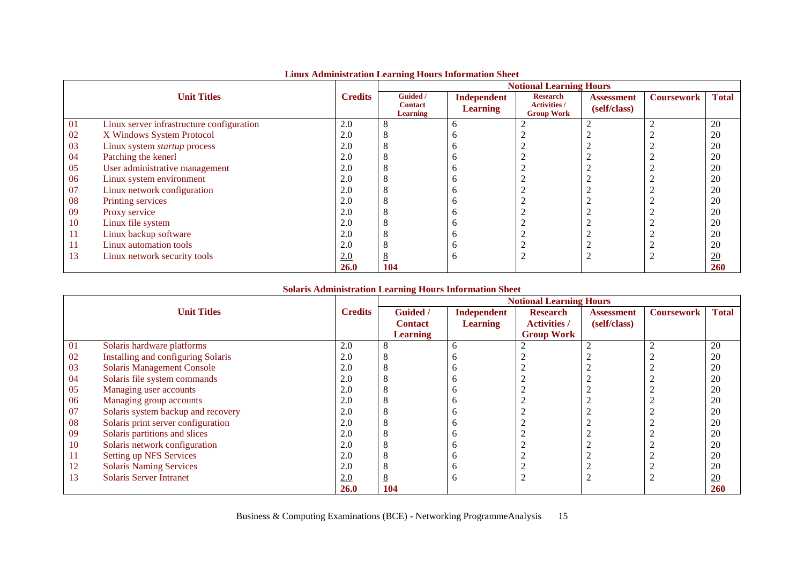|    |                                           |                |                                               |                                | <b>Notional Learning Hours</b>                              |                                   |                   |                |
|----|-------------------------------------------|----------------|-----------------------------------------------|--------------------------------|-------------------------------------------------------------|-----------------------------------|-------------------|----------------|
|    | <b>Unit Titles</b>                        | <b>Credits</b> | Guided /<br><b>Contact</b><br><b>Learning</b> | Independent<br><b>Learning</b> | <b>Research</b><br><b>Activities /</b><br><b>Group Work</b> | <b>Assessment</b><br>(self/class) | <b>Coursework</b> | <b>Total</b>   |
| 01 | Linux server infrastructure configuration | 2.0            | 8                                             | h                              |                                                             |                                   |                   | 20             |
| 02 | X Windows System Protocol                 | 2.0            | 8                                             | o                              |                                                             |                                   |                   | 20             |
| 03 | Linux system startup process              | 2.0            | 8                                             | o                              |                                                             |                                   |                   | 20             |
| 04 | Patching the kenerl                       | 2.0            | 8                                             | b                              |                                                             |                                   |                   | 20             |
| 05 | User administrative management            | 2.0            | 8                                             |                                |                                                             |                                   |                   | 20             |
| 06 | Linux system environment                  | 2.0            | 8                                             | o                              |                                                             |                                   |                   | 20             |
| 07 | Linux network configuration               | 2.0            | 8                                             | n                              |                                                             |                                   |                   | 20             |
| 08 | Printing services                         | 2.0            | 8                                             | o                              |                                                             |                                   |                   | 20             |
| 09 | Proxy service                             | 2.0            | 8                                             |                                |                                                             |                                   |                   | 20             |
| 10 | Linux file system                         | 2.0            | 8                                             |                                |                                                             |                                   |                   | 20             |
| 11 | Linux backup software                     | 2.0            | 8                                             | o                              |                                                             |                                   |                   | 20             |
| 11 | Linux automation tools                    | 2.0            | 8                                             | n                              |                                                             |                                   |                   | 20             |
| 13 | Linux network security tools              | 2.0            | 8                                             | b                              |                                                             |                                   |                   | $\frac{20}{2}$ |
|    |                                           | <b>26.0</b>    | 104                                           |                                |                                                             |                                   |                   | <b>260</b>     |

### **Linux Administration Learning Hours Information Sheet**

### **Solaris Administration Learning Hours Information Sheet**

|    |                                    |                |                 |                    | <b>Notional Learning Hours</b> |                   |                   |                  |
|----|------------------------------------|----------------|-----------------|--------------------|--------------------------------|-------------------|-------------------|------------------|
|    | <b>Unit Titles</b>                 | <b>Credits</b> | Guided /        | <b>Independent</b> | <b>Research</b>                | <b>Assessment</b> | <b>Coursework</b> | <b>Total</b>     |
|    |                                    |                | <b>Contact</b>  | <b>Learning</b>    | <b>Activities /</b>            | (self/class)      |                   |                  |
|    |                                    |                | <b>Learning</b> |                    | <b>Group Work</b>              |                   |                   |                  |
| 01 | Solaris hardware platforms         | 2.0            |                 | h                  |                                |                   | ി                 | 20               |
| 02 | Installing and configuring Solaris | 2.0            |                 |                    |                                |                   |                   | 20               |
| 03 | <b>Solaris Management Console</b>  | 2.0            |                 |                    |                                |                   |                   | 20               |
| 04 | Solaris file system commands       | 2.0            |                 |                    |                                |                   |                   | 20               |
| 05 | Managing user accounts             | 2.0            |                 |                    |                                |                   |                   | 20               |
| 06 | Managing group accounts            | 2.0            |                 |                    |                                |                   |                   | 20               |
| 07 | Solaris system backup and recovery | 2.0            |                 |                    |                                |                   |                   | 20               |
| 08 | Solaris print server configuration | 2.0            |                 |                    |                                |                   |                   | 20               |
| 09 | Solaris partitions and slices      | 2.0            |                 |                    |                                |                   |                   | 20               |
| 10 | Solaris network configuration      | 2.0            |                 |                    |                                |                   |                   | 20               |
| 11 | <b>Setting up NFS Services</b>     | 2.0            |                 |                    |                                |                   |                   | 20               |
| 12 | <b>Solaris Naming Services</b>     | 2.0            |                 |                    |                                |                   |                   | 20               |
| 13 | <b>Solaris Server Intranet</b>     | 2.0            |                 |                    |                                |                   |                   | $\underline{20}$ |
|    |                                    | 26.0           | 104             |                    |                                |                   |                   | 260              |

Business & Computing Examinations (BCE) - Networking ProgrammeAnalysis 15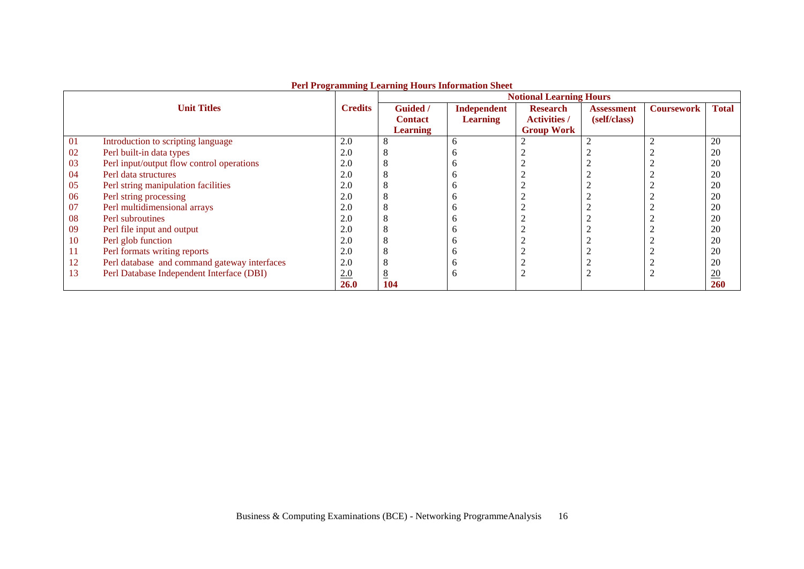|    |                                              |                |                 | Territogramming Learning Hours have made blick | <b>Notional Learning Hours</b> |                   |                   |                  |
|----|----------------------------------------------|----------------|-----------------|------------------------------------------------|--------------------------------|-------------------|-------------------|------------------|
|    | <b>Unit Titles</b>                           | <b>Credits</b> | <b>Guided</b> / | Independent                                    | <b>Research</b>                | <b>Assessment</b> | <b>Coursework</b> | <b>Total</b>     |
|    |                                              |                | <b>Contact</b>  | <b>Learning</b>                                | <b>Activities /</b>            | (self/class)      |                   |                  |
|    |                                              |                | <b>Learning</b> |                                                | <b>Group Work</b>              |                   |                   |                  |
| 01 | Introduction to scripting language           | 2.0            |                 | <sub>0</sub>                                   |                                |                   |                   | 20               |
| 02 | Perl built-in data types                     | 2.0            |                 |                                                |                                |                   |                   | 20               |
| 03 | Perl input/output flow control operations    | 2.0            |                 |                                                |                                |                   |                   | 20               |
| 04 | Perl data structures                         | 2.0            |                 | г                                              |                                |                   |                   | 20               |
| 05 | Perl string manipulation facilities          | 2.0            |                 |                                                |                                |                   |                   | 20               |
| 06 | Perl string processing                       | 2.0            |                 | г                                              |                                |                   |                   | 20               |
| 07 | Perl multidimensional arrays                 | 2.0            |                 |                                                |                                |                   |                   | 20               |
| 08 | Perl subroutines                             | 2.0            |                 |                                                |                                |                   |                   | 20               |
| 09 | Perl file input and output                   | 2.0            |                 | г                                              |                                |                   |                   | 20               |
| 10 | Perl glob function                           | 2.0            |                 |                                                |                                |                   |                   | 20               |
| 11 | Perl formats writing reports                 | 2.0            |                 |                                                |                                |                   |                   | 20               |
| 12 | Perl database and command gateway interfaces | 2.0            |                 |                                                |                                |                   |                   | 20               |
| 13 | Perl Database Independent Interface (DBI)    | 2.0            |                 | n                                              | ∠                              |                   |                   | $\underline{20}$ |
|    |                                              | <b>26.0</b>    | 104             |                                                |                                |                   |                   | <b>260</b>       |

#### **Perl Programming Learning Hours Information Sheet**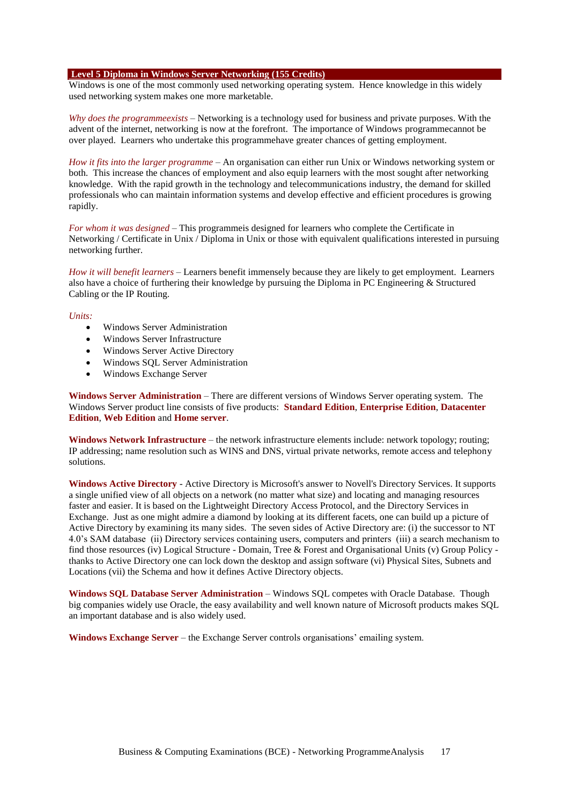#### **Level 5 Diploma in Windows Server Networking (155 Credits)**

Windows is one of the most commonly used networking operating system. Hence knowledge in this widely used networking system makes one more marketable.

*Why does the programmeexists* – Networking is a technology used for business and private purposes. With the advent of the internet, networking is now at the forefront. The importance of Windows programmecannot be over played. Learners who undertake this programmehave greater chances of getting employment.

*How it fits into the larger programme* – An organisation can either run Unix or Windows networking system or both. This increase the chances of employment and also equip learners with the most sought after networking knowledge. With the rapid growth in the technology and telecommunications industry, the demand for skilled professionals who can maintain information systems and develop effective and efficient procedures is growing rapidly.

*For whom it was designed* – This programmeis designed for learners who complete the Certificate in Networking / Certificate in Unix / Diploma in Unix or those with equivalent qualifications interested in pursuing networking further.

*How it will benefit learners* – Learners benefit immensely because they are likely to get employment. Learners also have a choice of furthering their knowledge by pursuing the Diploma in PC Engineering & Structured Cabling or the IP Routing.

#### *Units:*

- Windows Server Administration
- Windows Server Infrastructure
- Windows Server Active Directory
- Windows SQL Server Administration
- Windows Exchange Server

**Windows Server Administration** – There are different versions of Windows Server operating system. The Windows Server product line consists of five products: **Standard Edition**, **Enterprise Edition**, **Datacenter Edition**, **Web Edition** and **Home server**.

**Windows Network Infrastructure** – the network infrastructure elements include: network topology; routing; IP addressing; name resolution such as WINS and DNS, virtual private networks, remote access and telephony solutions.

**Windows Active Directory** - Active Directory is Microsoft's answer to Novell's Directory Services. It supports a single unified view of all objects on a network (no matter what size) and locating and managing resources faster and easier. It is based on the Lightweight Directory Access Protocol, and the Directory Services in Exchange. Just as one might admire a diamond by looking at its different facets, one can build up a picture of Active Directory by examining its many sides. The seven sides of Active Directory are: (i) the successor to NT 4.0's SAM database (ii) Directory services containing users, computers and printers (iii) a search mechanism to find those resources (iv) Logical Structure - Domain, Tree & Forest and Organisational Units (v) Group Policy thanks to Active Directory one can lock down the desktop and assign software (vi) Physical Sites, Subnets and Locations (vii) the Schema and how it defines Active Directory objects.

**Windows SQL Database Server Administration** – Windows SQL competes with Oracle Database. Though big companies widely use Oracle, the easy availability and well known nature of Microsoft products makes SQL an important database and is also widely used.

**Windows Exchange Server** – the Exchange Server controls organisations' emailing system.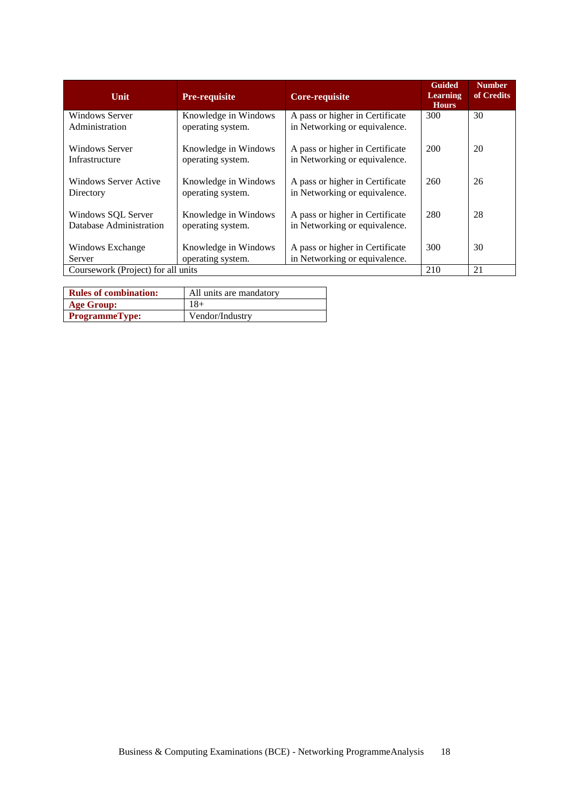| Unit                                          | <b>Pre-requisite</b>                      | <b>Core-requisite</b>                                            | <b>Guided</b><br><b>Learning</b><br><b>Hours</b> | <b>Number</b><br>of Credits |
|-----------------------------------------------|-------------------------------------------|------------------------------------------------------------------|--------------------------------------------------|-----------------------------|
| <b>Windows Server</b><br>Administration       | Knowledge in Windows<br>operating system. | A pass or higher in Certificate<br>in Networking or equivalence. | 300                                              | 30                          |
| Windows Server<br>Infrastructure              | Knowledge in Windows<br>operating system. | A pass or higher in Certificate<br>in Networking or equivalence. | 200                                              | 20                          |
| Windows Server Active<br>Directory            | Knowledge in Windows<br>operating system. | A pass or higher in Certificate<br>in Networking or equivalence. | 260                                              | 26                          |
| Windows SQL Server<br>Database Administration | Knowledge in Windows<br>operating system. | A pass or higher in Certificate<br>in Networking or equivalence. | 280                                              | 28                          |
| Windows Exchange<br>Server                    | Knowledge in Windows<br>operating system. | A pass or higher in Certificate<br>in Networking or equivalence. | 300                                              | 30                          |
| Coursework (Project) for all units            |                                           |                                                                  | 210                                              | 21                          |

| <b>Rules of combination:</b> | All units are mandatory |
|------------------------------|-------------------------|
| <b>Age Group:</b>            | $18+$                   |
| <b>ProgrammeType:</b>        | Vendor/Industry         |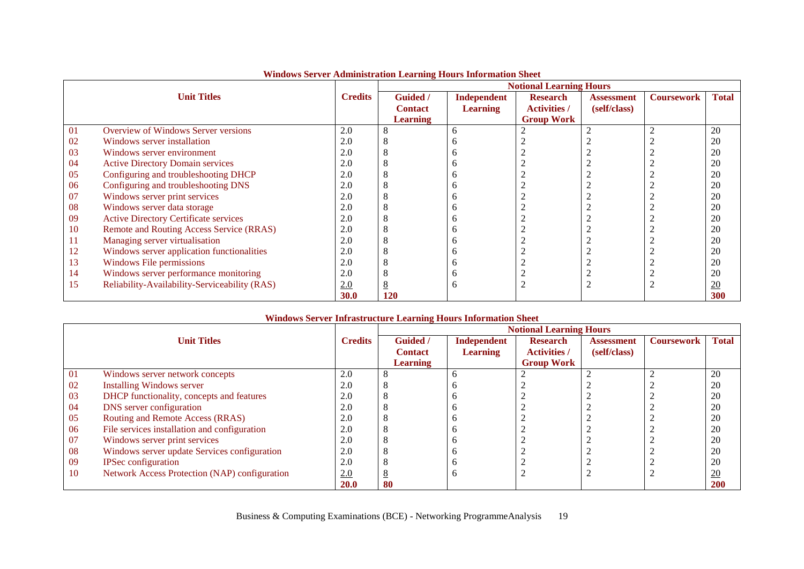|    |                                               |                | <b>Notional Learning Hours</b> |                 |                     |                   |                   |              |  |  |
|----|-----------------------------------------------|----------------|--------------------------------|-----------------|---------------------|-------------------|-------------------|--------------|--|--|
|    | <b>Unit Titles</b>                            | <b>Credits</b> | Guided /                       | Independent     | <b>Research</b>     | <b>Assessment</b> | <b>Coursework</b> | <b>Total</b> |  |  |
|    |                                               |                | <b>Contact</b>                 | <b>Learning</b> | <b>Activities</b> / | (self/class)      |                   |              |  |  |
|    |                                               |                | <b>Learning</b>                |                 | <b>Group Work</b>   |                   |                   |              |  |  |
| 01 | Overview of Windows Server versions           | 2.0            |                                | <sub>0</sub>    |                     |                   |                   | 20           |  |  |
| 02 | Windows server installation                   | 2.0            |                                |                 |                     |                   |                   | 20           |  |  |
| 03 | Windows server environment                    | 2.0            |                                |                 |                     |                   |                   | 20           |  |  |
| 04 | <b>Active Directory Domain services</b>       | 2.0            |                                |                 |                     |                   |                   | 20           |  |  |
| 05 | Configuring and troubleshooting DHCP          | 2.0            |                                |                 |                     |                   |                   | 20           |  |  |
| 06 | Configuring and troubleshooting DNS           | 2.0            |                                |                 |                     |                   |                   | 20           |  |  |
| 07 | Windows server print services                 | 2.0            |                                |                 |                     |                   |                   | 20           |  |  |
| 08 | Windows server data storage                   | 2.0            |                                |                 |                     |                   |                   | 20           |  |  |
| 09 | <b>Active Directory Certificate services</b>  | 2.0            |                                |                 |                     |                   |                   | 20           |  |  |
| 10 | Remote and Routing Access Service (RRAS)      | 2.0            |                                |                 |                     |                   |                   | 20           |  |  |
| 11 | Managing server virtualisation                | 2.0            |                                |                 |                     |                   |                   | 20           |  |  |
| 12 | Windows server application functionalities    | 2.0            |                                |                 |                     |                   |                   | 20           |  |  |
| 13 | Windows File permissions                      | 2.0            |                                |                 |                     |                   |                   | 20           |  |  |
| 14 | Windows server performance monitoring         | 2.0            |                                |                 |                     |                   |                   | 20           |  |  |
| 15 | Reliability-Availability-Serviceability (RAS) | 2.0            |                                | n               |                     |                   |                   | 20           |  |  |
|    |                                               | <b>30.0</b>    | 120                            |                 |                     |                   |                   | 300          |  |  |

### **Windows Server Administration Learning Hours Information Sheet**

### **Windows Server Infrastructure Learning Hours Information Sheet**

|    |                                               |                | <b>Notional Learning Hours</b> |                 |                     |                   |                   |                  |  |
|----|-----------------------------------------------|----------------|--------------------------------|-----------------|---------------------|-------------------|-------------------|------------------|--|
|    | <b>Unit Titles</b>                            | <b>Credits</b> | <b>Guided</b> /                | Independent     | <b>Research</b>     | <b>Assessment</b> | <b>Coursework</b> | <b>Total</b>     |  |
|    |                                               |                | <b>Contact</b>                 | <b>Learning</b> | <b>Activities</b> / | (self/class)      |                   |                  |  |
|    |                                               |                | <b>Learning</b>                |                 | <b>Group Work</b>   |                   |                   |                  |  |
| 01 | Windows server network concepts               | 2.0            |                                |                 |                     |                   |                   | 20               |  |
| 02 | <b>Installing Windows server</b>              | 2.0            | Ω                              |                 |                     |                   |                   | 20               |  |
| 03 | DHCP functionality, concepts and features     | 2.0            |                                |                 |                     |                   |                   | 20               |  |
| 04 | DNS server configuration                      | 2.0            |                                |                 |                     |                   |                   | 20               |  |
| 05 | Routing and Remote Access (RRAS)              | 2.0            |                                |                 |                     |                   |                   | 20               |  |
| 06 | File services installation and configuration  | 2.0            |                                |                 |                     |                   |                   | 20               |  |
| 07 | Windows server print services                 | 2.0            |                                |                 |                     |                   |                   | 20               |  |
| 08 | Windows server update Services configuration  | 2.0            |                                |                 |                     |                   |                   | 20               |  |
| 09 | <b>IPSec configuration</b>                    | 2.0            |                                |                 |                     |                   |                   | 20               |  |
| 10 | Network Access Protection (NAP) configuration | 2.0            |                                |                 |                     |                   |                   | $\underline{20}$ |  |
|    |                                               | 20.0           | 80                             |                 |                     |                   |                   | <b>200</b>       |  |

Business & Computing Examinations (BCE) - Networking ProgrammeAnalysis 19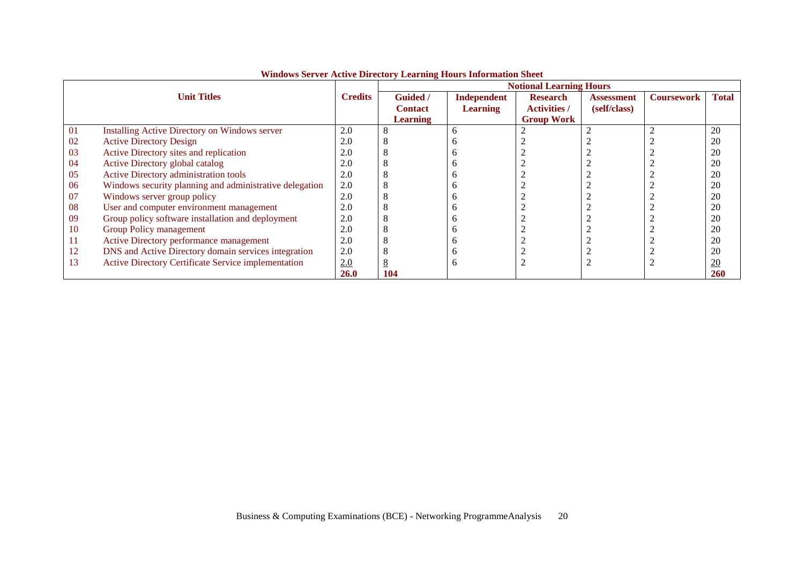|    |                                                         |                | <b>Notional Learning Hours</b> |                 |                     |                   |                   |                 |  |
|----|---------------------------------------------------------|----------------|--------------------------------|-----------------|---------------------|-------------------|-------------------|-----------------|--|
|    | <b>Unit Titles</b>                                      | <b>Credits</b> | <b>Guided</b> /                | Independent     | <b>Research</b>     | <b>Assessment</b> | <b>Coursework</b> | <b>Total</b>    |  |
|    |                                                         |                | <b>Contact</b>                 | <b>Learning</b> | <b>Activities</b> / | (self/class)      |                   |                 |  |
|    |                                                         |                | <b>Learning</b>                |                 | <b>Group Work</b>   |                   |                   |                 |  |
| 01 | Installing Active Directory on Windows server           | 2.0            | Ō                              |                 |                     |                   |                   | 20              |  |
| 02 | <b>Active Directory Design</b>                          | 2.0            |                                |                 |                     |                   |                   | 20              |  |
| 03 | Active Directory sites and replication                  | 2.0            | ◠                              |                 |                     |                   |                   | 20              |  |
| 04 | Active Directory global catalog                         | 2.0            | ◠                              |                 |                     |                   |                   | 20              |  |
| 05 | <b>Active Directory administration tools</b>            | 2.0            | O                              |                 |                     |                   |                   | 20              |  |
| 06 | Windows security planning and administrative delegation | 2.0            |                                |                 |                     |                   |                   | 20              |  |
| 07 | Windows server group policy                             | 2.0            | O                              |                 |                     |                   |                   | 20              |  |
| 08 | User and computer environment management                | 2.0            |                                |                 |                     |                   |                   | 20              |  |
| 09 | Group policy software installation and deployment       | 2.0            |                                |                 |                     |                   |                   | 20              |  |
| 10 | Group Policy management                                 | 2.0            | 8                              |                 |                     |                   |                   | 20              |  |
| 11 | Active Directory performance management                 | 2.0            | O                              |                 |                     |                   |                   | 20              |  |
| 12 | DNS and Active Directory domain services integration    | 2.0            |                                |                 |                     |                   |                   | 20              |  |
| 13 | Active Directory Certificate Service implementation     | 2.0            | <u>8</u>                       | n               |                     |                   |                   | $\overline{20}$ |  |
|    |                                                         | <b>26.0</b>    | 104                            |                 |                     |                   |                   | <b>260</b>      |  |

# **Windows Server Active Directory Learning Hours Information Sheet**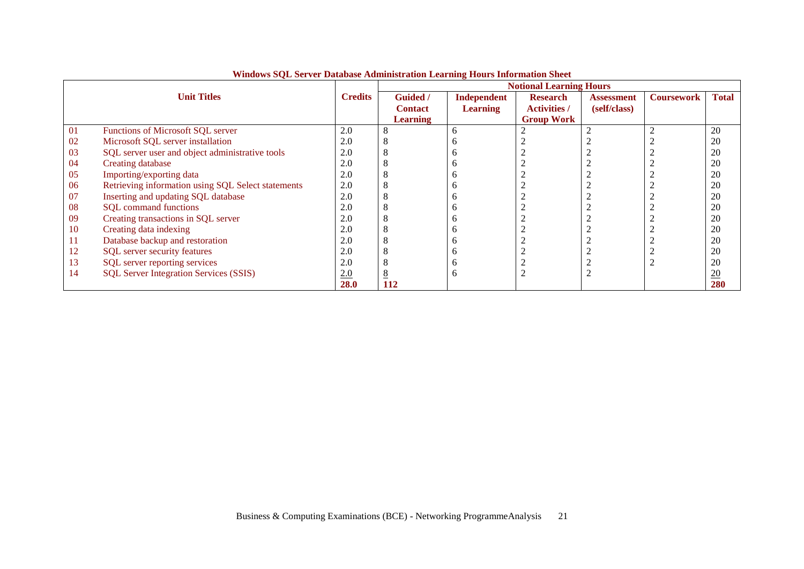|    |                                                    |                | <b>Notional Learning Hours</b> |                    |                     |                   |                   |                  |  |
|----|----------------------------------------------------|----------------|--------------------------------|--------------------|---------------------|-------------------|-------------------|------------------|--|
|    | <b>Unit Titles</b>                                 | <b>Credits</b> | <b>Guided</b> /                | <b>Independent</b> | <b>Research</b>     | <b>Assessment</b> | <b>Coursework</b> | <b>Total</b>     |  |
|    |                                                    |                | <b>Contact</b>                 | <b>Learning</b>    | <b>Activities /</b> | (self/class)      |                   |                  |  |
|    |                                                    |                | <b>Learning</b>                |                    | <b>Group Work</b>   |                   |                   |                  |  |
| 01 | Functions of Microsoft SQL server                  | 2.0            |                                | h                  |                     |                   |                   | 20               |  |
| 02 | Microsoft SQL server installation                  | 2.0            |                                | n                  |                     |                   |                   | 20               |  |
| 03 | SQL server user and object administrative tools    | 2.0            |                                | n                  |                     |                   |                   | 20               |  |
| 04 | Creating database                                  | 2.0            |                                | n                  |                     |                   |                   | 20               |  |
| 05 | Importing/exporting data                           | 2.0            |                                | n                  |                     |                   |                   | 20               |  |
| 06 | Retrieving information using SQL Select statements | 2.0            |                                |                    |                     |                   |                   | 20               |  |
| 07 | Inserting and updating SQL database                | 2.0            |                                |                    |                     |                   |                   | 20               |  |
| 08 | <b>SQL</b> command functions                       | 2.0            |                                | n                  |                     |                   |                   | 20               |  |
| 09 | Creating transactions in SQL server                | 2.0            |                                | n                  |                     |                   |                   | 20               |  |
| 10 | Creating data indexing                             | 2.0            |                                |                    |                     |                   |                   | 20               |  |
| 11 | Database backup and restoration                    | 2.0            |                                |                    |                     |                   |                   | 20               |  |
| 12 | SQL server security features                       | 2.0            |                                | n                  |                     |                   |                   | 20               |  |
| 13 | SQL server reporting services                      | 2.0            |                                | h                  |                     |                   |                   | 20               |  |
| 14 | <b>SQL Server Integration Services (SSIS)</b>      | 2.0            |                                | h                  |                     |                   |                   | $\underline{20}$ |  |
|    |                                                    | <b>28.0</b>    | <b>112</b>                     |                    |                     |                   |                   | 280              |  |

**Windows SQL Server Database Administration Learning Hours Information Sheet**